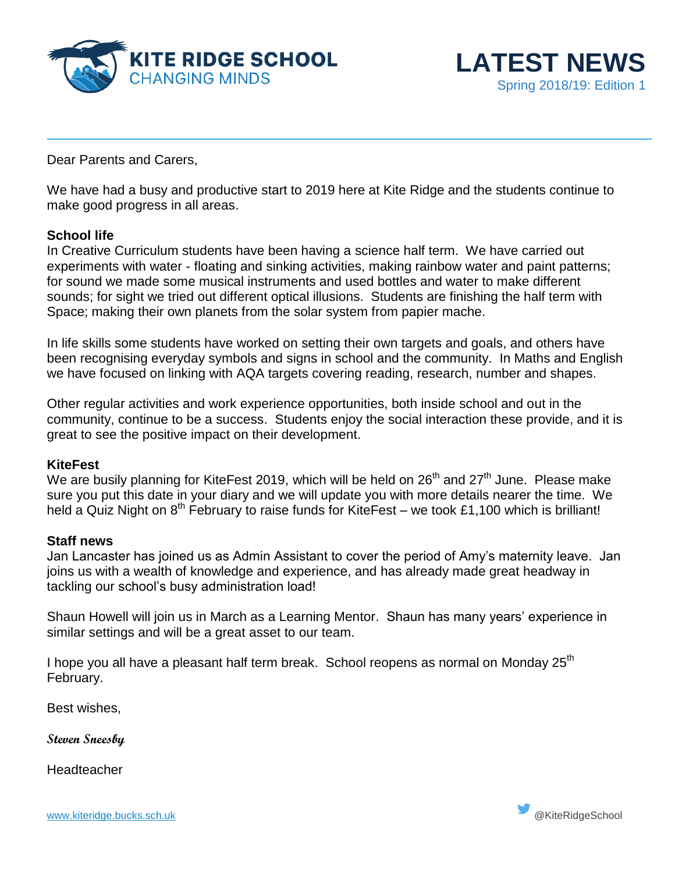



Dear Parents and Carers,

We have had a busy and productive start to 2019 here at Kite Ridge and the students continue to make good progress in all areas.

## **School life**

In Creative Curriculum students have been having a science half term. We have carried out experiments with water - floating and sinking activities, making rainbow water and paint patterns; for sound we made some musical instruments and used bottles and water to make different sounds; for sight we tried out different optical illusions. Students are finishing the half term with Space; making their own planets from the solar system from papier mache.

In life skills some students have worked on setting their own targets and goals, and others have been recognising everyday symbols and signs in school and the community. In Maths and English we have focused on linking with AQA targets covering reading, research, number and shapes.

Other regular activities and work experience opportunities, both inside school and out in the community, continue to be a success. Students enjoy the social interaction these provide, and it is great to see the positive impact on their development.

### **KiteFest**

We are busily planning for KiteFest 2019, which will be held on  $26<sup>th</sup>$  and  $27<sup>th</sup>$  June. Please make sure you put this date in your diary and we will update you with more details nearer the time. We held a Quiz Night on  $8^{th}$  February to raise funds for KiteFest – we took £1,100 which is brilliant!

### **Staff news**

Jan Lancaster has joined us as Admin Assistant to cover the period of Amy's maternity leave. Jan joins us with a wealth of knowledge and experience, and has already made great headway in tackling our school's busy administration load!

Shaun Howell will join us in March as a Learning Mentor. Shaun has many years' experience in similar settings and will be a great asset to our team.

I hope you all have a pleasant half term break. School reopens as normal on Monday 25<sup>th</sup> February.

Best wishes,

**Steven Sneesby**

**Headteacher**